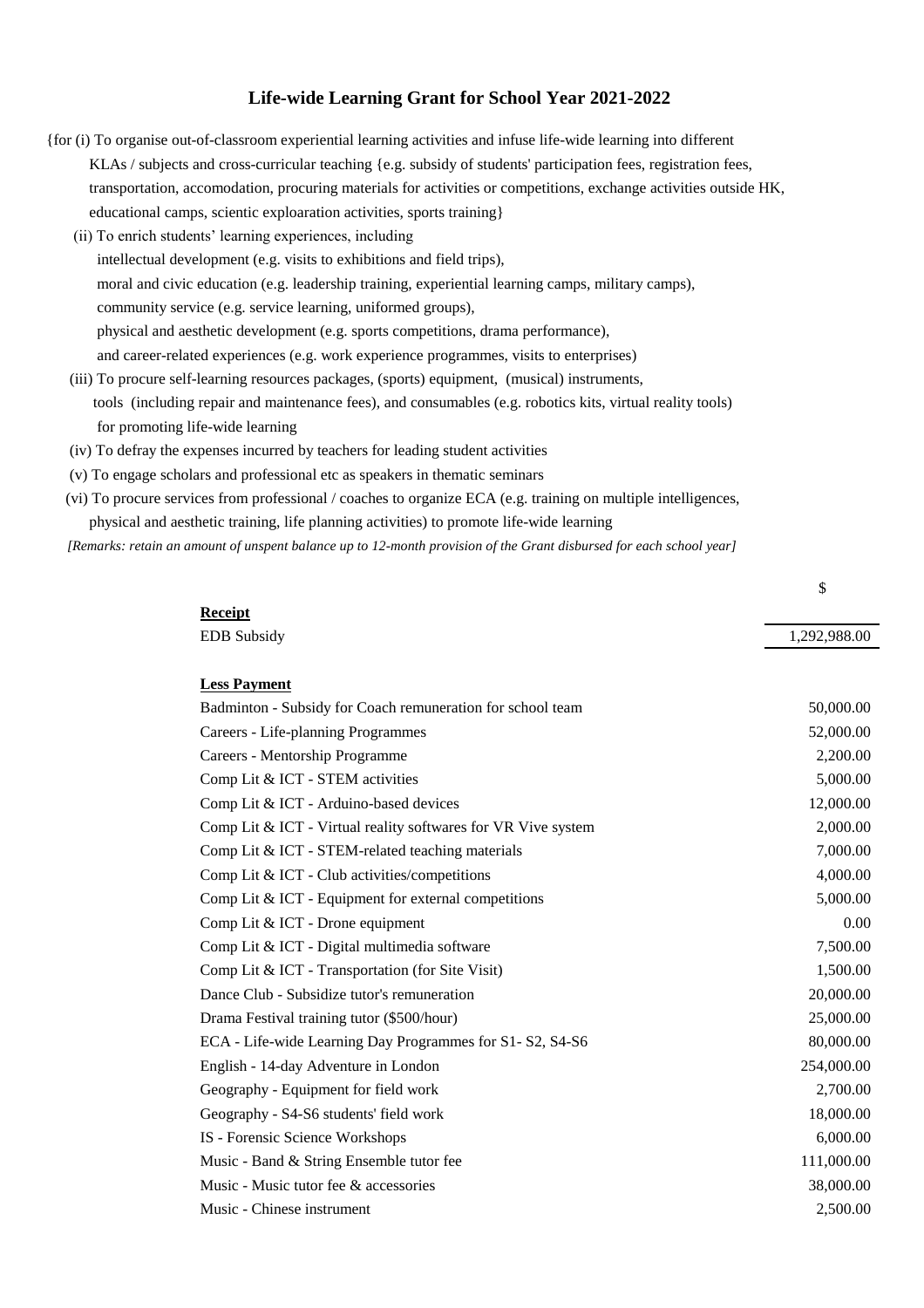## **Life-wide Learning Grant for School Year 2021-2022**

- (iii) To procure self-learning resources packages, (sports) equipment, (musical) instruments, tools (including repair and maintenance fees), and consumables (e.g. robotics kits, virtual reality tools) for promoting life-wide learning (iv) To defray the expenses incurred by teachers for leading student activities (v) To engage scholars and professional etc as speakers in thematic seminars intellectual development (e.g. visits to exhibitions and field trips), moral and civic education (e.g. leadership training, experiential learning camps, military camps), community service (e.g. service learning, uniformed groups), physical and aesthetic development (e.g. sports competitions, drama performance), and career-related experiences (e.g. work experience programmes, visits to enterprises) {for (i) To organise out-of-classroom experiential learning activities and infuse life-wide learning into different KLAs / subjects and cross-curricular teaching {e.g. subsidy of students' participation fees, registration fees, transportation, accomodation, procuring materials for activities or competitions, exchange activities outside HK, educational camps, scientic exploaration activities, sports training} (ii) To enrich students' learning experiences, including
	- (vi) To procure services from professional / coaches to organize ECA (e.g. training on multiple intelligences, physical and aesthetic training, life planning activities) to promote life-wide learning

 *[Remarks: retain an amount of unspent balance up to 12-month provision of the Grant disbursed for each school year]*

\$

| <b>Receipt</b>                                                | 1,292,988.00 |
|---------------------------------------------------------------|--------------|
| <b>EDB</b> Subsidy                                            |              |
| <b>Less Payment</b>                                           |              |
| Badminton - Subsidy for Coach remuneration for school team    | 50,000.00    |
| Careers - Life-planning Programmes                            | 52,000.00    |
| Careers - Mentorship Programme                                | 2,200.00     |
| Comp Lit & ICT - STEM activities                              | 5,000.00     |
| Comp Lit & ICT - Arduino-based devices                        | 12,000.00    |
| Comp Lit & ICT - Virtual reality softwares for VR Vive system | 2,000.00     |
| Comp Lit & ICT - STEM-related teaching materials              | 7,000.00     |
| Comp Lit & ICT - Club activities/competitions                 | 4,000.00     |
| Comp Lit & ICT - Equipment for external competitions          | 5,000.00     |
| Comp Lit & ICT - Drone equipment                              | 0.00         |
| Comp Lit & ICT - Digital multimedia software                  | 7,500.00     |
| Comp Lit & ICT - Transportation (for Site Visit)              | 1,500.00     |
| Dance Club - Subsidize tutor's remuneration                   | 20,000.00    |
| Drama Festival training tutor (\$500/hour)                    | 25,000.00    |
| ECA - Life-wide Learning Day Programmes for S1- S2, S4-S6     | 80,000.00    |
| English - 14-day Adventure in London                          | 254,000.00   |
| Geography - Equipment for field work                          | 2,700.00     |
| Geography - S4-S6 students' field work                        | 18,000.00    |
| IS - Forensic Science Workshops                               | 6,000.00     |
| Music - Band & String Ensemble tutor fee                      | 111,000.00   |
| Music - Music tutor fee & accessories                         | 38,000.00    |
| Music - Chinese instrument                                    | 2,500.00     |